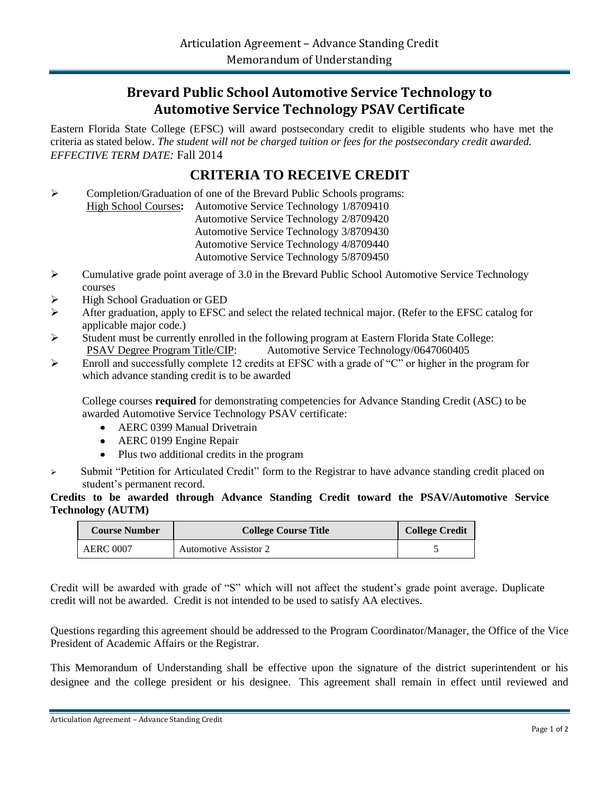## **Brevard Public School Automotive Service Technology to Automotive Service Technology PSAV Certificate**

Eastern Florida State College (EFSC) will award postsecondary credit to eligible students who have met the criteria as stated below. *The student will not be charged tuition or fees for the postsecondary credit awarded. EFFECTIVE TERM DATE:* Fall 2014

## **CRITERIA TO RECEIVE CREDIT**

 Completion/Graduation of one of the Brevard Public Schools programs: High School Courses**:** Automotive Service Technology 1/8709410 Automotive Service Technology 2/8709420 Automotive Service Technology 3/8709430 Automotive Service Technology 4/8709440 Automotive Service Technology 5/8709450

- $\triangleright$  Cumulative grade point average of 3.0 in the Brevard Public School Automotive Service Technology courses
- High School Graduation or GED
- After graduation, apply to EFSC and select the related technical major. (Refer to the EFSC catalog for applicable major code.)
- $\triangleright$  Student must be currently enrolled in the following program at Eastern Florida State College: PSAV Degree Program Title/CIP: Automotive Service Technology/0647060405
- Enroll and successfully complete 12 credits at EFSC with a grade of "C" or higher in the program for which advance standing credit is to be awarded

College courses **required** for demonstrating competencies for Advance Standing Credit (ASC) to be awarded Automotive Service Technology PSAV certificate:

- AERC 0399 Manual Drivetrain
- AERC 0199 Engine Repair
- Plus two additional credits in the program
- $\triangleright$  Submit "Petition for Articulated Credit" form to the Registrar to have advance standing credit placed on student's permanent record.

## **Credits to be awarded through Advance Standing Credit toward the PSAV/Automotive Service Technology (AUTM)**

| <b>Course Number</b> | <b>College Course Title</b>  | <b>College Credit</b> |
|----------------------|------------------------------|-----------------------|
| AERC 0007            | <b>Automotive Assistor 2</b> |                       |

Credit will be awarded with grade of "S" which will not affect the student's grade point average. Duplicate credit will not be awarded. Credit is not intended to be used to satisfy AA electives.

Questions regarding this agreement should be addressed to the Program Coordinator/Manager, the Office of the Vice President of Academic Affairs or the Registrar.

This Memorandum of Understanding shall be effective upon the signature of the district superintendent or his designee and the college president or his designee. This agreement shall remain in effect until reviewed and

Articulation Agreement – Advance Standing Credit